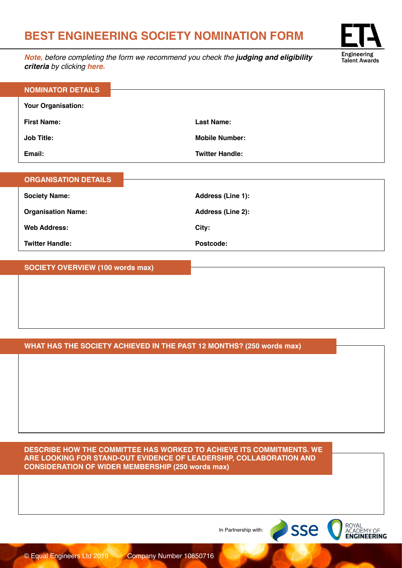## **BEST ENGINEERING SOCIETY NOMINATION FORM**

*Note, before completing the form we recommend you check the judging and eligibility criteria by clicking [here.](https://engineeringtalentawards.com/judging-criteria/)*



| <b>ORGANISATION DETAILS</b> |                   |
|-----------------------------|-------------------|
| <b>Society Name:</b>        | Address (Line 1): |
| <b>Organisation Name:</b>   | Address (Line 2): |
| <b>Web Address:</b>         | City:             |
| <b>Twitter Handle:</b>      | Postcode:         |

**SOCIETY OVERVIEW (100 words max)**

## **WHAT HAS THE SOCIETY ACHIEVED IN THE PAST 12 MONTHS? (250 words max)**

**DESCRIBE HOW THE COMMITTEE HAS WORKED TO ACHIEVE ITS COMMITMENTS. WE ARE LOOKING FOR STAND-OUT EVIDENCE OF LEADERSHIP, COLLABORATION AND CONSIDERATION OF WIDER MEMBERSHIP (250 words max)**

In Partnership with:



ROYAL<br>ACADEMY OF<br>**ENGINEERING** 

sse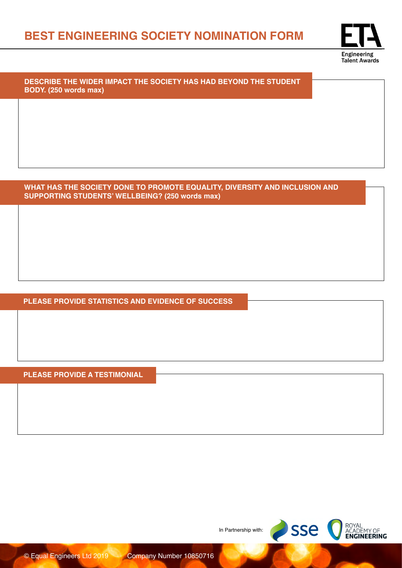

**DESCRIBE THE WIDER IMPACT THE SOCIETY HAS HAD BEYOND THE STUDENT BODY. (250 words max)**

**WHAT HAS THE SOCIETY DONE TO PROMOTE EQUALITY, DIVERSITY AND INCLUSION AND SUPPORTING STUDENTS' WELLBEING? (250 words max)**

**PLEASE PROVIDE STATISTICS AND EVIDENCE OF SUCCESS**

**PLEASE PROVIDE A TESTIMONIAL**

In Partnership with:

SSE CROYAL ENGINEERING